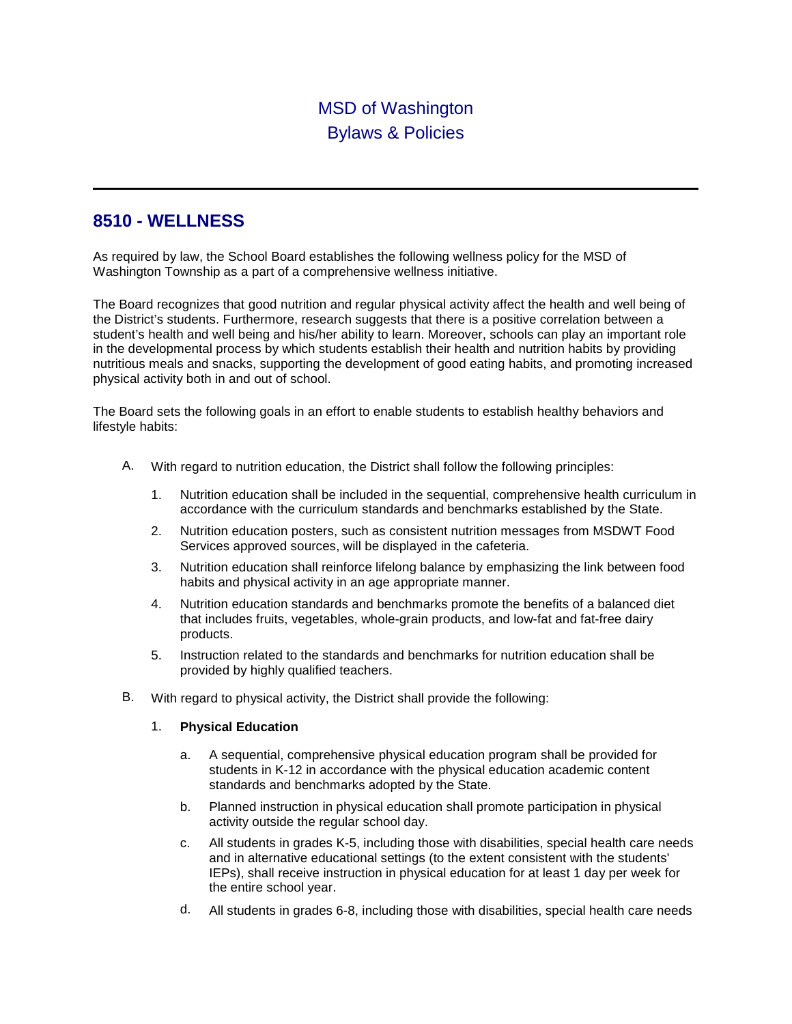## MSD of Washington Bylaws & Policies

## **8510 - WELLNESS**

As required by law, the School Board establishes the following wellness policy for the MSD of Washington Township as a part of a comprehensive wellness initiative.

The Board recognizes that good nutrition and regular physical activity affect the health and well being of the District's students. Furthermore, research suggests that there is a positive correlation between a student's health and well being and his/her ability to learn. Moreover, schools can play an important role in the developmental process by which students establish their health and nutrition habits by providing nutritious meals and snacks, supporting the development of good eating habits, and promoting increased physical activity both in and out of school.

The Board sets the following goals in an effort to enable students to establish healthy behaviors and lifestyle habits:

- A. With regard to nutrition education, the District shall follow the following principles:
	- 1. Nutrition education shall be included in the sequential, comprehensive health curriculum in accordance with the curriculum standards and benchmarks established by the State.
	- 2. Nutrition education posters, such as consistent nutrition messages from MSDWT Food Services approved sources, will be displayed in the cafeteria.
	- 3. Nutrition education shall reinforce lifelong balance by emphasizing the link between food habits and physical activity in an age appropriate manner.
	- 4. Nutrition education standards and benchmarks promote the benefits of a balanced diet that includes fruits, vegetables, whole-grain products, and low-fat and fat-free dairy products.
	- 5. Instruction related to the standards and benchmarks for nutrition education shall be provided by highly qualified teachers.
- B. With regard to physical activity, the District shall provide the following:

## 1. **Physical Education**

- a. A sequential, comprehensive physical education program shall be provided for students in K-12 in accordance with the physical education academic content standards and benchmarks adopted by the State.
- b. Planned instruction in physical education shall promote participation in physical activity outside the regular school day.
- c. All students in grades K-5, including those with disabilities, special health care needs and in alternative educational settings (to the extent consistent with the students' IEPs), shall receive instruction in physical education for at least 1 day per week for the entire school year.
- d. All students in grades 6-8, including those with disabilities, special health care needs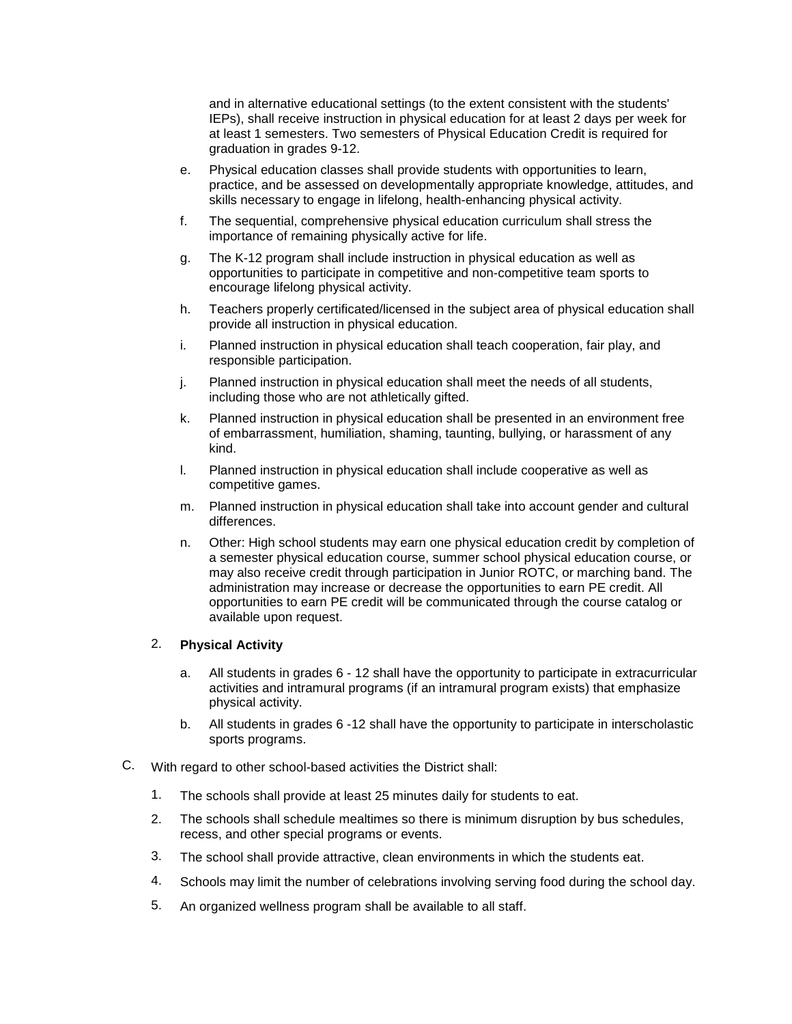and in alternative educational settings (to the extent consistent with the students' IEPs), shall receive instruction in physical education for at least 2 days per week for at least 1 semesters. Two semesters of Physical Education Credit is required for graduation in grades 9-12.

- e. Physical education classes shall provide students with opportunities to learn, practice, and be assessed on developmentally appropriate knowledge, attitudes, and skills necessary to engage in lifelong, health-enhancing physical activity.
- f. The sequential, comprehensive physical education curriculum shall stress the importance of remaining physically active for life.
- g. The K-12 program shall include instruction in physical education as well as opportunities to participate in competitive and non-competitive team sports to encourage lifelong physical activity.
- h. Teachers properly certificated/licensed in the subject area of physical education shall provide all instruction in physical education.
- i. Planned instruction in physical education shall teach cooperation, fair play, and responsible participation.
- j. Planned instruction in physical education shall meet the needs of all students, including those who are not athletically gifted.
- k. Planned instruction in physical education shall be presented in an environment free of embarrassment, humiliation, shaming, taunting, bullying, or harassment of any kind.
- l. Planned instruction in physical education shall include cooperative as well as competitive games.
- m. Planned instruction in physical education shall take into account gender and cultural differences.
- n. Other: High school students may earn one physical education credit by completion of a semester physical education course, summer school physical education course, or may also receive credit through participation in Junior ROTC, or marching band. The administration may increase or decrease the opportunities to earn PE credit. All opportunities to earn PE credit will be communicated through the course catalog or available upon request.

## 2. **Physical Activity**

- a. All students in grades 6 12 shall have the opportunity to participate in extracurricular activities and intramural programs (if an intramural program exists) that emphasize physical activity.
- b. All students in grades 6 -12 shall have the opportunity to participate in interscholastic sports programs.
- C. With regard to other school-based activities the District shall:
	- 1. The schools shall provide at least 25 minutes daily for students to eat.
	- 2. The schools shall schedule mealtimes so there is minimum disruption by bus schedules, recess, and other special programs or events.
	- 3. The school shall provide attractive, clean environments in which the students eat.
	- 4. Schools may limit the number of celebrations involving serving food during the school day.
	- 5. An organized wellness program shall be available to all staff.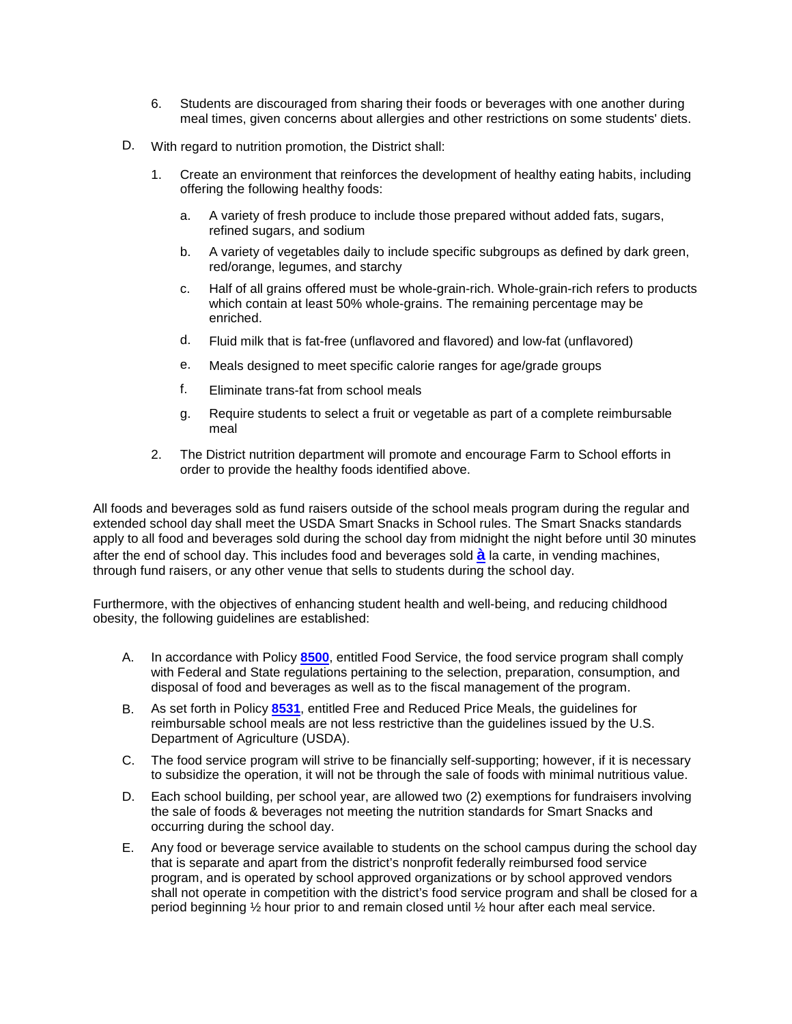- 6. Students are discouraged from sharing their foods or beverages with one another during meal times, given concerns about allergies and other restrictions on some students' diets.
- D. With regard to nutrition promotion, the District shall:
	- 1. Create an environment that reinforces the development of healthy eating habits, including offering the following healthy foods:
		- a. A variety of fresh produce to include those prepared without added fats, sugars, refined sugars, and sodium
		- b. A variety of vegetables daily to include specific subgroups as defined by dark green, red/orange, legumes, and starchy
		- c. Half of all grains offered must be whole-grain-rich. Whole-grain-rich refers to products which contain at least 50% whole-grains. The remaining percentage may be enriched.
		- d. Fluid milk that is fat-free (unflavored and flavored) and low-fat (unflavored)
		- e. Meals designed to meet specific calorie ranges for age/grade groups
		- f. Eliminate trans-fat from school meals
		- g. Require students to select a fruit or vegetable as part of a complete reimbursable meal
	- 2. The District nutrition department will promote and encourage Farm to School efforts in order to provide the healthy foods identified above.

All foods and beverages sold as fund raisers outside of the school meals program during the regular and extended school day shall meet the USDA Smart Snacks in School rules. The Smart Snacks standards apply to all food and beverages sold during the school day from midnight the night before until 30 minutes after the end of school day. This includes food and beverages sold **à** la carte, in vending machines, through fund raisers, or any other venue that sells to students during the school day.

Furthermore, with the objectives of enhancing student health and well-being, and reducing childhood obesity, the following guidelines are established:

- A. In accordance with Policy **8500**, entitled Food Service, the food service program shall comply with Federal and State regulations pertaining to the selection, preparation, consumption, and disposal of food and beverages as well as to the fiscal management of the program.
- B. As set forth in Policy **8531**, entitled Free and Reduced Price Meals, the guidelines for reimbursable school meals are not less restrictive than the guidelines issued by the U.S. Department of Agriculture (USDA).
- C. The food service program will strive to be financially self-supporting; however, if it is necessary to subsidize the operation, it will not be through the sale of foods with minimal nutritious value.
- D. Each school building, per school year, are allowed two (2) exemptions for fundraisers involving the sale of foods & beverages not meeting the nutrition standards for Smart Snacks and occurring during the school day.
- E. Any food or beverage service available to students on the school campus during the school day that is separate and apart from the district's nonprofit federally reimbursed food service program, and is operated by school approved organizations or by school approved vendors shall not operate in competition with the district's food service program and shall be closed for a period beginning ½ hour prior to and remain closed until ½ hour after each meal service.